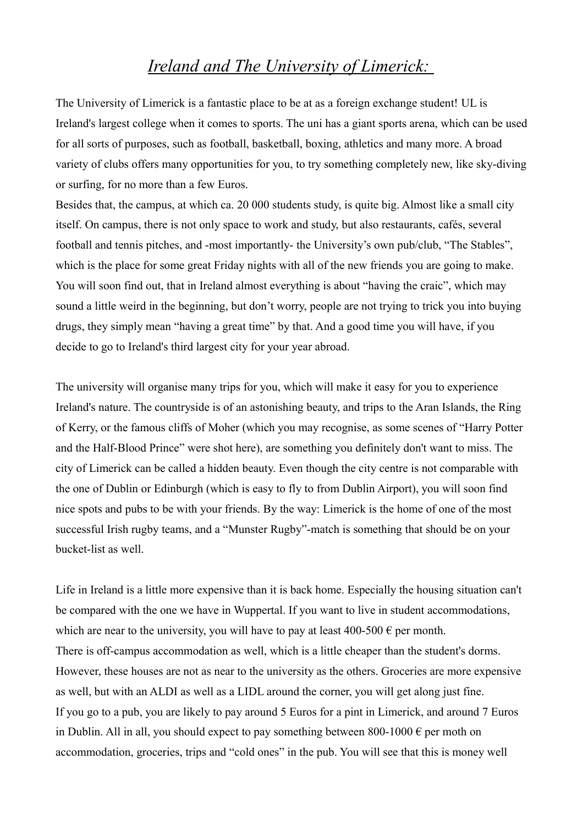## *Ireland and The University of Limerick:*

The University of Limerick is a fantastic place to be at as a foreign exchange student! UL is Ireland's largest college when it comes to sports. The uni has a giant sports arena, which can be used for all sorts of purposes, such as football, basketball, boxing, athletics and many more. A broad variety of clubs offers many opportunities for you, to try something completely new, like sky-diving or surfing, for no more than a few Euros.

Besides that, the campus, at which ca. 20 000 students study, is quite big. Almost like a small city itself. On campus, there is not only space to work and study, but also restaurants, cafés, several football and tennis pitches, and -most importantly- the University's own pub/club, "The Stables", which is the place for some great Friday nights with all of the new friends you are going to make. You will soon find out, that in Ireland almost everything is about "having the craic", which may sound a little weird in the beginning, but don't worry, people are not trying to trick you into buying drugs, they simply mean "having a great time" by that. And a good time you will have, if you decide to go to Ireland's third largest city for your year abroad.

The university will organise many trips for you, which will make it easy for you to experience Ireland's nature. The countryside is of an astonishing beauty, and trips to the Aran Islands, the Ring of Kerry, or the famous cliffs of Moher (which you may recognise, as some scenes of "Harry Potter and the Half-Blood Prince" were shot here), are something you definitely don't want to miss. The city of Limerick can be called a hidden beauty. Even though the city centre is not comparable with the one of Dublin or Edinburgh (which is easy to fly to from Dublin Airport), you will soon find nice spots and pubs to be with your friends. By the way: Limerick is the home of one of the most successful Irish rugby teams, and a "Munster Rugby"-match is something that should be on your bucket-list as well.

Life in Ireland is a little more expensive than it is back home. Especially the housing situation can't be compared with the one we have in Wuppertal. If you want to live in student accommodations, which are near to the university, you will have to pay at least 400-500  $\epsilon$  per month. There is off-campus accommodation as well, which is a little cheaper than the student's dorms. However, these houses are not as near to the university as the others. Groceries are more expensive as well, but with an ALDI as well as a LIDL around the corner, you will get along just fine. If you go to a pub, you are likely to pay around 5 Euros for a pint in Limerick, and around 7 Euros in Dublin. All in all, you should expect to pay something between 800-1000  $\epsilon$  per moth on accommodation, groceries, trips and "cold ones" in the pub. You will see that this is money well